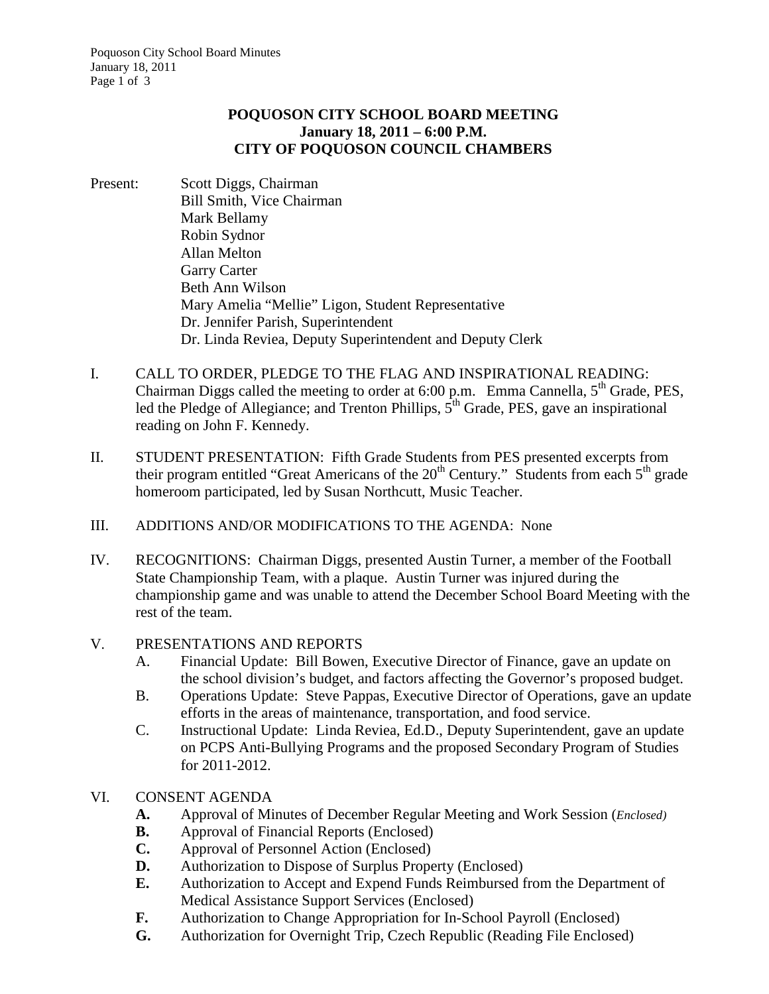# **POQUOSON CITY SCHOOL BOARD MEETING January 18, 2011 – 6:00 P.M. CITY OF POQUOSON COUNCIL CHAMBERS**

- Present: Scott Diggs, Chairman Bill Smith, Vice Chairman Mark Bellamy Robin Sydnor Allan Melton Garry Carter Beth Ann Wilson Mary Amelia "Mellie" Ligon, Student Representative Dr. Jennifer Parish, Superintendent Dr. Linda Reviea, Deputy Superintendent and Deputy Clerk
- I. CALL TO ORDER, PLEDGE TO THE FLAG AND INSPIRATIONAL READING: Chairman Diggs called the meeting to order at  $6:00$  p.m. Emma Cannella,  $5<sup>th</sup>$  Grade, PES, led the Pledge of Allegiance; and Trenton Phillips,  $5<sup>th</sup>$  Grade, PES, gave an inspirational reading on John F. Kennedy.
- II. STUDENT PRESENTATION: Fifth Grade Students from PES presented excerpts from their program entitled "Great Americans of the  $20<sup>th</sup>$  Century." Students from each  $5<sup>th</sup>$  grade homeroom participated, led by Susan Northcutt, Music Teacher.
- III. ADDITIONS AND/OR MODIFICATIONS TO THE AGENDA: None
- IV. RECOGNITIONS: Chairman Diggs, presented Austin Turner, a member of the Football State Championship Team, with a plaque. Austin Turner was injured during the championship game and was unable to attend the December School Board Meeting with the rest of the team.

# V. PRESENTATIONS AND REPORTS

- A. Financial Update: Bill Bowen, Executive Director of Finance, gave an update on the school division's budget, and factors affecting the Governor's proposed budget.
- B. Operations Update: Steve Pappas, Executive Director of Operations, gave an update efforts in the areas of maintenance, transportation, and food service.
- C. Instructional Update: Linda Reviea, Ed.D., Deputy Superintendent, gave an update on PCPS Anti-Bullying Programs and the proposed Secondary Program of Studies for 2011-2012.

# VI. CONSENT AGENDA

- **A.** Approval of Minutes of December Regular Meeting and Work Session (*Enclosed)*
- **B.** Approval of Financial Reports (Enclosed)
- **C.** Approval of Personnel Action (Enclosed)
- **D.** Authorization to Dispose of Surplus Property (Enclosed)
- **E.** Authorization to Accept and Expend Funds Reimbursed from the Department of Medical Assistance Support Services (Enclosed)
- **F.** Authorization to Change Appropriation for In-School Payroll (Enclosed)
- **G.** Authorization for Overnight Trip, Czech Republic (Reading File Enclosed)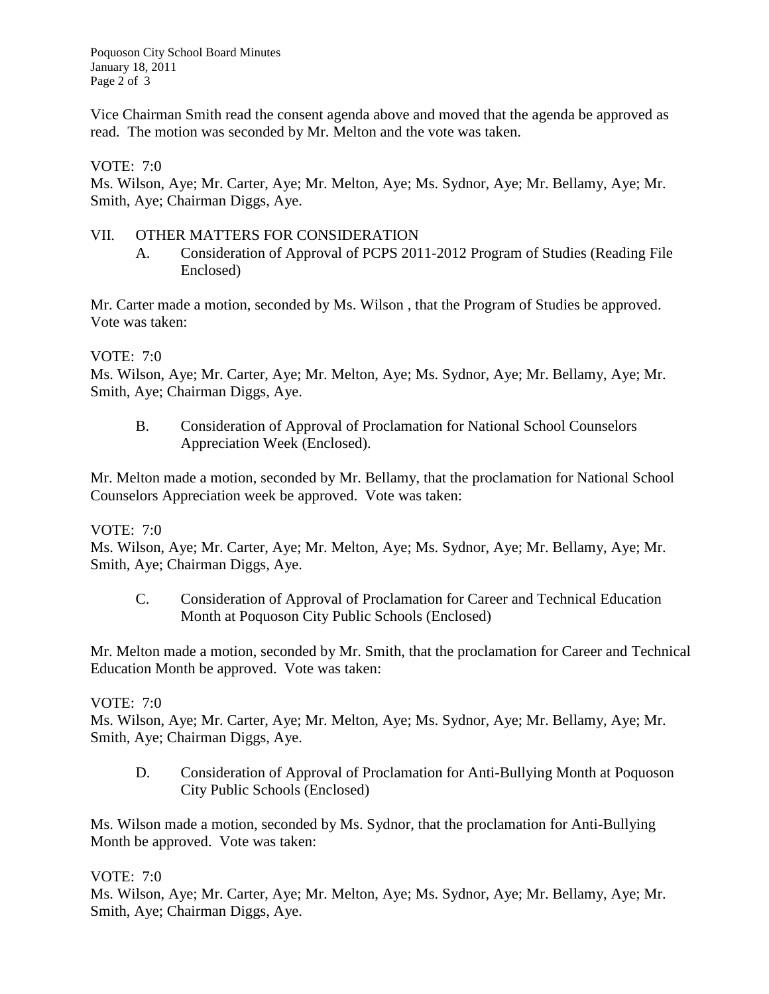Poquoson City School Board Minutes January 18, 2011 Page 2 of 3

Vice Chairman Smith read the consent agenda above and moved that the agenda be approved as read. The motion was seconded by Mr. Melton and the vote was taken.

## VOTE: 7:0

Ms. Wilson, Aye; Mr. Carter, Aye; Mr. Melton, Aye; Ms. Sydnor, Aye; Mr. Bellamy, Aye; Mr. Smith, Aye; Chairman Diggs, Aye.

## VII. OTHER MATTERS FOR CONSIDERATION

A. Consideration of Approval of PCPS 2011-2012 Program of Studies (Reading File Enclosed)

Mr. Carter made a motion, seconded by Ms. Wilson , that the Program of Studies be approved. Vote was taken:

#### VOTE: 7:0

Ms. Wilson, Aye; Mr. Carter, Aye; Mr. Melton, Aye; Ms. Sydnor, Aye; Mr. Bellamy, Aye; Mr. Smith, Aye; Chairman Diggs, Aye.

B. Consideration of Approval of Proclamation for National School Counselors Appreciation Week (Enclosed).

Mr. Melton made a motion, seconded by Mr. Bellamy, that the proclamation for National School Counselors Appreciation week be approved. Vote was taken:

## VOTE: 7:0

Ms. Wilson, Aye; Mr. Carter, Aye; Mr. Melton, Aye; Ms. Sydnor, Aye; Mr. Bellamy, Aye; Mr. Smith, Aye; Chairman Diggs, Aye.

C. Consideration of Approval of Proclamation for Career and Technical Education Month at Poquoson City Public Schools (Enclosed)

Mr. Melton made a motion, seconded by Mr. Smith, that the proclamation for Career and Technical Education Month be approved. Vote was taken:

## VOTE: 7:0

Ms. Wilson, Aye; Mr. Carter, Aye; Mr. Melton, Aye; Ms. Sydnor, Aye; Mr. Bellamy, Aye; Mr. Smith, Aye; Chairman Diggs, Aye.

D. Consideration of Approval of Proclamation for Anti-Bullying Month at Poquoson City Public Schools (Enclosed)

Ms. Wilson made a motion, seconded by Ms. Sydnor, that the proclamation for Anti-Bullying Month be approved. Vote was taken:

## VOTE: 7:0

Ms. Wilson, Aye; Mr. Carter, Aye; Mr. Melton, Aye; Ms. Sydnor, Aye; Mr. Bellamy, Aye; Mr. Smith, Aye; Chairman Diggs, Aye.